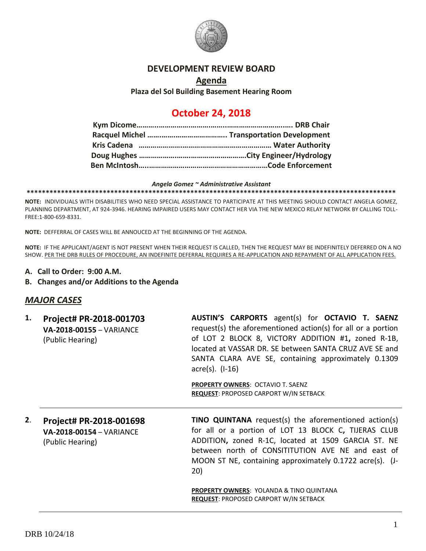

### **DEVELOPMENT REVIEW BOARD**

### **Agenda Plaza del Sol Building Basement Hearing Room**

# **October 24, 2018**

#### *Angela Gomez ~ Administrative Assistant*

**\*\*\*\*\*\*\*\*\*\*\*\*\*\*\*\*\*\*\*\*\*\*\*\*\*\*\*\*\*\*\*\*\*\*\*\*\*\*\*\*\*\*\*\*\*\*\*\*\*\*\*\*\*\*\*\*\*\*\*\*\*\*\*\*\*\*\*\*\*\*\*\*\*\*\*\*\*\*\*\*\*\*\*\*\*\*\*\*\*\*\*\*\*\*\*\*\***

**NOTE:** INDIVIDUALS WITH DISABILITIES WHO NEED SPECIAL ASSISTANCE TO PARTICIPATE AT THIS MEETING SHOULD CONTACT ANGELA GOMEZ, PLANNING DEPARTMENT, AT 924-3946. HEARING IMPAIRED USERS MAY CONTACT HER VIA THE NEW MEXICO RELAY NETWORK BY CALLING TOLL-FREE:1-800-659-8331.

**NOTE:** DEFFERRAL OF CASES WILL BE ANNOUCED AT THE BEGINNING OF THE AGENDA.

**NOTE:** IF THE APPLICANT/AGENT IS NOT PRESENT WHEN THEIR REQUEST IS CALLED, THEN THE REQUEST MAY BE INDEFINITELY DEFERRED ON A NO SHOW. PER THE DRB RULES OF PROCEDURE, AN INDEFINITE DEFERRAL REQUIRES A RE-APPLICATION AND REPAYMENT OF ALL APPLICATION FEES.

- **A. Call to Order: 9:00 A.M.**
- **B. Changes and/or Additions to the Agenda**

### *MAJOR CASES*

| 1. | Project# PR-2018-001703<br>VA-2018-00155 - VARIANCE<br>(Public Hearing)        | AUSTIN'S CARPORTS agent(s) for OCTAVIO T. SAENZ<br>request(s) the aforementioned action(s) for all or a portion<br>of LOT 2 BLOCK 8, VICTORY ADDITION #1, zoned R-1B,<br>located at VASSAR DR. SE between SANTA CRUZ AVE SE and<br>SANTA CLARA AVE SE, containing approximately 0.1309<br>$\arccos(5)$ . (I-16)<br><b>PROPERTY OWNERS: OCTAVIO T. SAENZ</b><br><b>REQUEST: PROPOSED CARPORT W/IN SETBACK</b> |
|----|--------------------------------------------------------------------------------|--------------------------------------------------------------------------------------------------------------------------------------------------------------------------------------------------------------------------------------------------------------------------------------------------------------------------------------------------------------------------------------------------------------|
| 2. | Project# PR-2018-001698<br><b>VA-2018-00154 - VARIANCE</b><br>(Public Hearing) | <b>TINO QUINTANA</b> request(s) the aforementioned action(s)<br>for all or a portion of LOT 13 BLOCK C, TIJERAS CLUB<br>ADDITION, zoned R-1C, located at 1509 GARCIA ST. NE<br>between north of CONSITITUTION AVE NE and east of<br>MOON ST NE, containing approximately 0.1722 acre(s). (J-<br>20)<br><b>PROPERTY OWNERS: YOLANDA &amp; TINO QUINTANA</b><br><b>REQUEST: PROPOSED CARPORT W/IN SETBACK</b>  |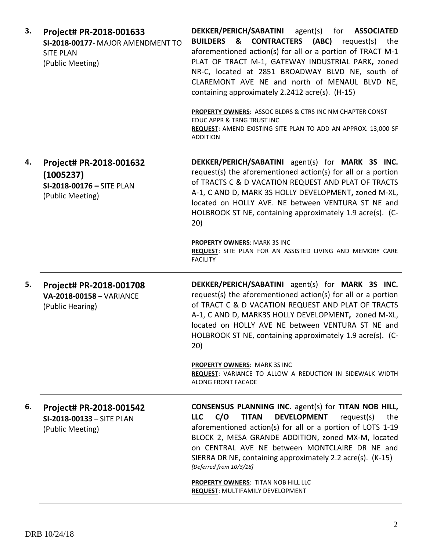| 3. | Project# PR-2018-001633<br>SI-2018-00177-MAJOR AMENDMENT TO<br><b>SITE PLAN</b><br>(Public Meeting) | DEKKER/PERICH/SABATINI agent(s) for ASSOCIATED<br><b>CONTRACTERS</b> (ABC) request(s)<br><b>BUILDERS &amp;</b><br>the<br>aforementioned action(s) for all or a portion of TRACT M-1<br>PLAT OF TRACT M-1, GATEWAY INDUSTRIAL PARK, zoned<br>NR-C, located at 2851 BROADWAY BLVD NE, south of<br>CLAREMONT AVE NE and north of MENAUL BLVD NE,<br>containing approximately 2.2412 acre(s). (H-15)           |
|----|-----------------------------------------------------------------------------------------------------|------------------------------------------------------------------------------------------------------------------------------------------------------------------------------------------------------------------------------------------------------------------------------------------------------------------------------------------------------------------------------------------------------------|
|    |                                                                                                     | PROPERTY OWNERS: ASSOC BLDRS & CTRS INC NM CHAPTER CONST<br>EDUC APPR & TRNG TRUST INC<br>REQUEST: AMEND EXISTING SITE PLAN TO ADD AN APPROX. 13,000 SF<br><b>ADDITION</b>                                                                                                                                                                                                                                 |
| 4. | Project# PR-2018-001632<br>(1005237)<br>SI-2018-00176 - SITE PLAN<br>(Public Meeting)               | DEKKER/PERICH/SABATINI agent(s) for MARK 3S INC.<br>request(s) the aforementioned action(s) for all or a portion<br>of TRACTS C & D VACATION REQUEST AND PLAT OF TRACTS<br>A-1, C AND D, MARK 3S HOLLY DEVELOPMENT, zoned M-XL,<br>located on HOLLY AVE. NE between VENTURA ST NE and<br>HOLBROOK ST NE, containing approximately 1.9 acre(s). (C-<br>20)                                                  |
|    |                                                                                                     | <b>PROPERTY OWNERS: MARK 3S INC</b><br>REQUEST: SITE PLAN FOR AN ASSISTED LIVING AND MEMORY CARE<br><b>FACILITY</b>                                                                                                                                                                                                                                                                                        |
| 5. | Project# PR-2018-001708<br>VA-2018-00158 - VARIANCE<br>(Public Hearing)                             | DEKKER/PERICH/SABATINI agent(s) for MARK 3S INC.<br>request(s) the aforementioned action(s) for all or a portion<br>of TRACT C & D VACATION REQUEST AND PLAT OF TRACTS<br>A-1, C AND D, MARK3S HOLLY DEVELOPMENT, zoned M-XL,<br>located on HOLLY AVE NE between VENTURA ST NE and<br>HOLBROOK ST NE, containing approximately 1.9 acre(s). (C-<br>20)                                                     |
|    |                                                                                                     | <b>PROPERTY OWNERS: MARK 3S INC</b><br>REQUEST: VARIANCE TO ALLOW A REDUCTION IN SIDEWALK WIDTH<br><b>ALONG FRONT FACADE</b>                                                                                                                                                                                                                                                                               |
| 6. | Project# PR-2018-001542<br>SI-2018-00133 - SITE PLAN<br>(Public Meeting)                            | <b>CONSENSUS PLANNING INC.</b> agent(s) for TITAN NOB HILL,<br>C/O<br><b>DEVELOPMENT</b><br><b>LLC</b><br><b>TITAN</b><br>request(s)<br>the<br>aforementioned action(s) for all or a portion of LOTS 1-19<br>BLOCK 2, MESA GRANDE ADDITION, zoned MX-M, located<br>on CENTRAL AVE NE between MONTCLAIRE DR NE and<br>SIERRA DR NE, containing approximately 2.2 acre(s). (K-15)<br>[Deferred from 10/3/18] |
|    |                                                                                                     | PROPERTY OWNERS: TITAN NOB HILL LLC<br><b>REQUEST: MULTIFAMILY DEVELOPMENT</b>                                                                                                                                                                                                                                                                                                                             |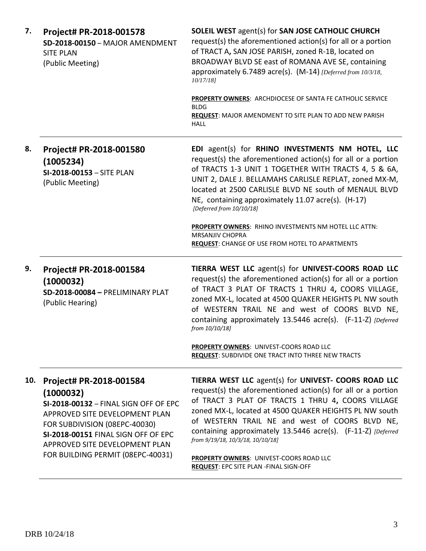| 7.  | Project# PR-2018-001578<br>SD-2018-00150 - MAJOR AMENDMENT<br><b>SITE PLAN</b><br>(Public Meeting)                                                                                                                                                             | <b>SOLEIL WEST agent(s) for SAN JOSE CATHOLIC CHURCH</b><br>request(s) the aforementioned action(s) for all or a portion<br>of TRACT A, SAN JOSE PARISH, zoned R-1B, located on<br>BROADWAY BLVD SE east of ROMANA AVE SE, containing<br>approximately 6.7489 acre(s). (M-14) [Deferred from 10/3/18,<br>$10/17/18$ ]                                                                                                                                                                 |
|-----|----------------------------------------------------------------------------------------------------------------------------------------------------------------------------------------------------------------------------------------------------------------|---------------------------------------------------------------------------------------------------------------------------------------------------------------------------------------------------------------------------------------------------------------------------------------------------------------------------------------------------------------------------------------------------------------------------------------------------------------------------------------|
|     |                                                                                                                                                                                                                                                                | PROPERTY OWNERS: ARCHDIOCESE OF SANTA FE CATHOLIC SERVICE<br><b>BLDG</b><br><b>REQUEST:</b> MAJOR AMENDMENT TO SITE PLAN TO ADD NEW PARISH<br><b>HALL</b>                                                                                                                                                                                                                                                                                                                             |
| 8.  | Project# PR-2018-001580<br>(1005234)<br>SI-2018-00153 - SITE PLAN<br>(Public Meeting)                                                                                                                                                                          | EDI agent(s) for RHINO INVESTMENTS NM HOTEL, LLC<br>request(s) the aforementioned action(s) for all or a portion<br>of TRACTS 1-3 UNIT 1 TOGETHER WITH TRACTS 4, 5 & 6A,<br>UNIT 2, DALE J. BELLAMAHS CARLISLE REPLAT, zoned MX-M,<br>located at 2500 CARLISLE BLVD NE south of MENAUL BLVD<br>NE, containing approximately 11.07 acre(s). (H-17)<br>[Deferred from 10/10/18]                                                                                                         |
|     |                                                                                                                                                                                                                                                                | PROPERTY OWNERS: RHINO INVESTMENTS NM HOTEL LLC ATTN:<br><b>MRSANJIV CHOPRA</b><br><b>REQUEST: CHANGE OF USE FROM HOTEL TO APARTMENTS</b>                                                                                                                                                                                                                                                                                                                                             |
| 9.  | Project# PR-2018-001584<br>(1000032)<br>SD-2018-00084 - PRELIMINARY PLAT<br>(Public Hearing)                                                                                                                                                                   | TIERRA WEST LLC agent(s) for UNIVEST-COORS ROAD LLC<br>request(s) the aforementioned action(s) for all or a portion<br>of TRACT 3 PLAT OF TRACTS 1 THRU 4, COORS VILLAGE,<br>zoned MX-L, located at 4500 QUAKER HEIGHTS PL NW south<br>of WESTERN TRAIL NE and west of COORS BLVD NE,<br>containing approximately 13.5446 acre(s). (F-11-Z) [Deferred<br>from 10/10/18]                                                                                                               |
|     |                                                                                                                                                                                                                                                                | PROPERTY OWNERS: UNIVEST-COORS ROAD LLC<br>REQUEST: SUBDIVIDE ONE TRACT INTO THREE NEW TRACTS                                                                                                                                                                                                                                                                                                                                                                                         |
| 10. | Project# PR-2018-001584<br>(1000032)<br>SI-2018-00132 - FINAL SIGN OFF OF EPC<br>APPROVED SITE DEVELOPMENT PLAN<br>FOR SUBDIVISION (08EPC-40030)<br>SI-2018-00151 FINAL SIGN OFF OF EPC<br>APPROVED SITE DEVELOPMENT PLAN<br>FOR BUILDING PERMIT (08EPC-40031) | TIERRA WEST LLC agent(s) for UNIVEST- COORS ROAD LLC<br>request(s) the aforementioned action(s) for all or a portion<br>of TRACT 3 PLAT OF TRACTS 1 THRU 4, COORS VILLAGE<br>zoned MX-L, located at 4500 QUAKER HEIGHTS PL NW south<br>of WESTERN TRAIL NE and west of COORS BLVD NE,<br>containing approximately 13.5446 acre(s). (F-11-Z) [Deferred<br>from 9/19/18, 10/3/18, 10/10/18]<br>PROPERTY OWNERS: UNIVEST-COORS ROAD LLC<br><b>REQUEST: EPC SITE PLAN -FINAL SIGN-OFF</b> |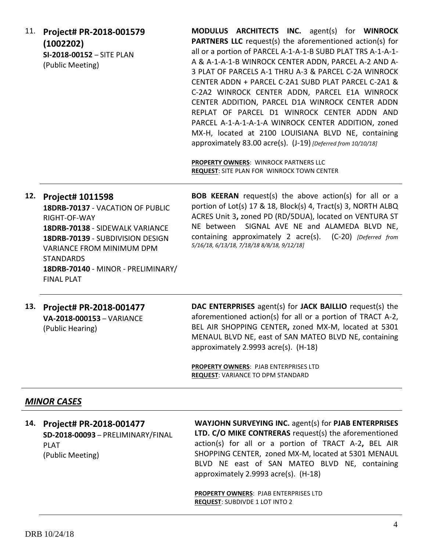| 11. | Project# PR-2018-001579<br>(1002202)<br>SI-2018-00152 - SITE PLAN<br>(Public Meeting)                                                                                                                                                                          | <b>MODULUS ARCHITECTS INC.</b> agent(s) for <b>WINROCK</b><br><b>PARTNERS LLC</b> request(s) the aforementioned action(s) for<br>all or a portion of PARCEL A-1-A-1-B SUBD PLAT TRS A-1-A-1-<br>A & A-1-A-1-B WINROCK CENTER ADDN, PARCEL A-2 AND A-<br>3 PLAT OF PARCELS A-1 THRU A-3 & PARCEL C-2A WINROCK<br>CENTER ADDN + PARCEL C-2A1 SUBD PLAT PARCEL C-2A1 &<br>C-2A2 WINROCK CENTER ADDN, PARCEL E1A WINROCK<br>CENTER ADDITION, PARCEL D1A WINROCK CENTER ADDN<br>REPLAT OF PARCEL D1 WINROCK CENTER ADDN AND<br>PARCEL A-1-A-1-A-1-A WINROCK CENTER ADDITION, zoned<br>MX-H, located at 2100 LOUISIANA BLVD NE, containing<br>approximately 83.00 acre(s). (J-19) [Deferred from 10/10/18]<br><b>PROPERTY OWNERS: WINROCK PARTNERS LLC</b><br>REQUEST: SITE PLAN FOR WINROCK TOWN CENTER |
|-----|----------------------------------------------------------------------------------------------------------------------------------------------------------------------------------------------------------------------------------------------------------------|----------------------------------------------------------------------------------------------------------------------------------------------------------------------------------------------------------------------------------------------------------------------------------------------------------------------------------------------------------------------------------------------------------------------------------------------------------------------------------------------------------------------------------------------------------------------------------------------------------------------------------------------------------------------------------------------------------------------------------------------------------------------------------------------------|
| 12. | <b>Project# 1011598</b><br>18DRB-70137 - VACATION OF PUBLIC<br>RIGHT-OF-WAY<br>18DRB-70138 - SIDEWALK VARIANCE<br>18DRB-70139 - SUBDIVISION DESIGN<br>VARIANCE FROM MINIMUM DPM<br><b>STANDARDS</b><br>18DRB-70140 - MINOR - PRELIMINARY/<br><b>FINAL PLAT</b> | <b>BOB KEERAN</b> request(s) the above action(s) for all or a<br>portion of Lot(s) 17 & 18, Block(s) 4, Tract(s) 3, NORTH ALBQ<br>ACRES Unit 3, zoned PD (RD/5DUA), located on VENTURA ST<br>NE between SIGNAL AVE NE and ALAMEDA BLVD NE,<br>containing approximately 2 acre(s). (C-20) [Deferred from<br>5/16/18, 6/13/18, 7/18/18 8/8/18, 9/12/18]                                                                                                                                                                                                                                                                                                                                                                                                                                              |
| 13. | Project# PR-2018-001477<br>VA-2018-000153 - VARIANCE<br>(Public Hearing)                                                                                                                                                                                       | DAC ENTERPRISES agent(s) for JACK BAILLIO request(s) the<br>aforementioned action(s) for all or a portion of TRACT A-2,<br>BEL AIR SHOPPING CENTER, zoned MX-M, located at 5301<br>MENAUL BLVD NE, east of SAN MATEO BLVD NE, containing                                                                                                                                                                                                                                                                                                                                                                                                                                                                                                                                                           |

**PROPERTY OWNERS**: PJAB ENTERPRISES LTD **REQUEST**: VARIANCE TO DPM STANDARD

approximately 2.9993 acre(s). (H-18)

## *MINOR CASES*

| 14. Project# PR-2018-001477       | WAYJOHN SURVEYING INC. agent(s) for PJAB ENTERPRISES  |
|-----------------------------------|-------------------------------------------------------|
| SD-2018-00093 - PRELIMINARY/FINAL | LTD. C/O MIKE CONTRERAS request(s) the aforementioned |
| PLAT                              | action(s) for all or a portion of TRACT A-2, BEL AIR  |
| (Public Meeting)                  | SHOPPING CENTER, zoned MX-M, located at 5301 MENAUL   |
|                                   | BLVD NE east of SAN MATEO BLVD NE, containing         |
|                                   | approximately 2.9993 acre(s). (H-18)                  |
|                                   |                                                       |
|                                   |                                                       |

**PROPERTY OWNERS**: PJAB ENTERPRISES LTD **REQUEST**: SUBDIVDE 1 LOT INTO 2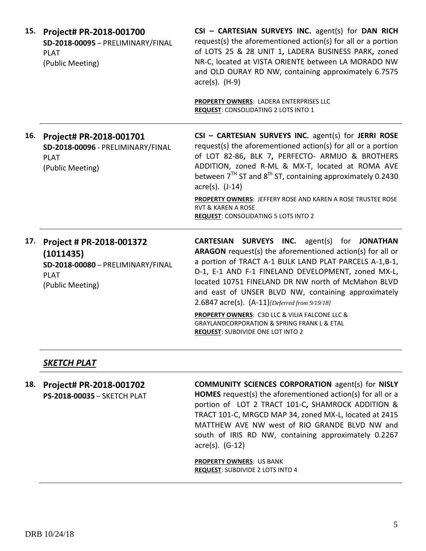| 15. | Project# PR-2018-001700<br>SD-2018-00095 - PRELIMINARY/FINAL<br><b>PLAT</b><br>(Public Meeting)               | CSI - CARTESIAN SURVEYS INC. agent(s) for DAN RICH<br>request(s) the aforementioned action(s) for all or a portion<br>of LOTS 25 & 28 UNIT 1, LADERA BUSINESS PARK, zoned<br>NR-C, located at VISTA ORIENTE between LA MORADO NW<br>and OLD OURAY RD NW, containing approximately 6.7575<br>$\arccos(5)$ . (H-9)<br>PROPERTY OWNERS: LADERA ENTERPRISES LLC<br><b>REQUEST: CONSOLIDATING 2 LOTS INTO 1</b>                                                                   |
|-----|---------------------------------------------------------------------------------------------------------------|------------------------------------------------------------------------------------------------------------------------------------------------------------------------------------------------------------------------------------------------------------------------------------------------------------------------------------------------------------------------------------------------------------------------------------------------------------------------------|
| 16. | Project# PR-2018-001701<br>SD-2018-00096 - PRELIMINARY/FINAL<br><b>PLAT</b><br>(Public Meeting)               | CSI - CARTESIAN SURVEYS INC. agent(s) for JERRI ROSE<br>request(s) the aforementioned action(s) for all or a portion<br>of LOT 82-86, BLK 7, PERFECTO- ARMIJO & BROTHERS<br>ADDITION, zoned R-ML & MX-T, located at ROMA AVE<br>between $7^{TH}$ ST and $8^{th}$ ST, containing approximately 0.2430<br>$\arccos(5)$ . (J-14)<br>PROPERTY OWNERS: JEFFERY ROSE AND KAREN A ROSE TRUSTEE ROSE<br><b>RVT &amp; KAREN A ROSE</b><br><b>REQUEST: CONSOLIDATING 5 LOTS INTO 2</b> |
| 17. | Project # PR-2018-001372<br>(1011435)<br>SD-2018-00080 - PRELIMINARY/FINAL<br><b>PLAT</b><br>(Public Meeting) | <b>CARTESIAN SURVEYS INC.</b> agent(s) for JONATHAN<br>ARAGON request(s) the aforementioned action(s) for all or<br>a portion of TRACT A-1 BULK LAND PLAT PARCELS A-1,B-1,<br>D-1, E-1 AND F-1 FINELAND DEVELOPMENT, zoned MX-L,<br>located 10751 FINELAND DR NW north of McMahon BLVD<br>and east of UNSER BLVD NW, containing approximately<br>2.6847 acre(s). (A-11) [Deferred from 9/19/18]                                                                              |
|     |                                                                                                               | PROPERTY OWNERS: C3D LLC & VILIA FALCONE LLC &<br><b>GRAYLANDCORPORATION &amp; SPRING FRANK L &amp; ETAL</b><br><b>REQUEST: SUBDIVIDE ONE LOT INTO 2</b>                                                                                                                                                                                                                                                                                                                     |

# *SKETCH PLAT*

| 18. | Project# PR-2018-001702     | <b>COMMUNITY SCIENCES CORPORATION agent(s) for NISLY</b>          |
|-----|-----------------------------|-------------------------------------------------------------------|
|     | PS-2018-00035 - SKETCH PLAT | <b>HOMES</b> request(s) the aforementioned action(s) for all or a |
|     |                             | portion of LOT 2 TRACT 101-C, SHAMROCK ADDITION &                 |
|     |                             | TRACT 101-C, MRGCD MAP 34, zoned MX-L, located at 2415            |
|     |                             | MATTHEW AVE NW west of RIO GRANDE BLVD NW and                     |
|     |                             | south of IRIS RD NW, containing approximately 0.2267              |
|     |                             | $\arccos(5)$ . (G-12)                                             |
|     |                             | <b>PROPERTY OWNERS: US BANK</b>                                   |
|     |                             | <b>REQUEST: SUBDIVIDE 2 LOTS INTO 4</b>                           |